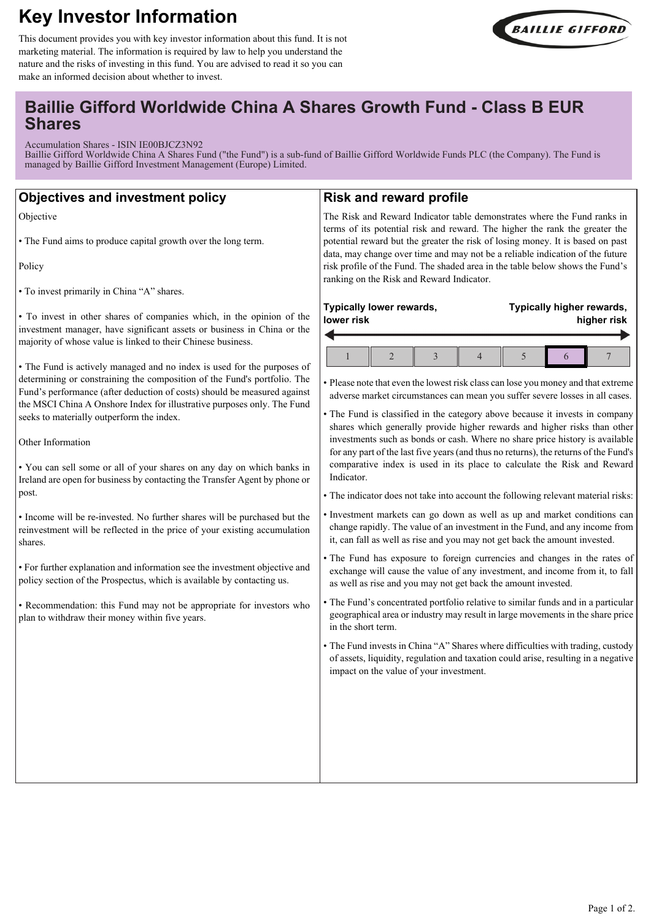# **Key Investor Information**



This document provides you with key investor information about this fund. It is not marketing material. The information is required by law to help you understand the nature and the risks of investing in this fund. You are advised to read it so you can make an informed decision about whether to invest.

# **Baillie Gifford Worldwide China A Shares Growth Fund - Class B EUR Shares**

Accumulation Shares - ISIN IE00BJCZ3N92

Baillie Gifford Worldwide China A Shares Fund ("the Fund") is a sub-fund of Baillie Gifford Worldwide Funds PLC (the Company). The Fund is managed by Baillie Gifford Investment Management (Europe) Limited.

# **Objectives and investment policy**

Objective

• The Fund aims to produce capital growth over the long term.

Policy

• To invest primarily in China "A" shares.

• To invest in other shares of companies which, in the opinion of the investment manager, have significant assets or business in China or the majority of whose value is linked to their Chinese business.

• The Fund is actively managed and no index is used for the purposes of determining or constraining the composition of the Fund's portfolio. The Fund's performance (after deduction of costs) should be measured against the MSCI China A Onshore Index for illustrative purposes only. The Fund seeks to materially outperform the index.

Other Information

• You can sell some or all of your shares on any day on which banks in Ireland are open for business by contacting the Transfer Agent by phone or post.

• Income will be re-invested. No further shares will be purchased but the reinvestment will be reflected in the price of your existing accumulation shares.

• For further explanation and information see the investment objective and policy section of the Prospectus, which is available by contacting us.

• Recommendation: this Fund may not be appropriate for investors who plan to withdraw their money within five years.

## **Risk and reward profile**

The Risk and Reward Indicator table demonstrates where the Fund ranks in terms of its potential risk and reward. The higher the rank the greater the potential reward but the greater the risk of losing money. It is based on past data, may change over time and may not be a reliable indication of the future risk profile of the Fund. The shaded area in the table below shows the Fund's ranking on the Risk and Reward Indicator.

| Typically lower rewards, |  |  |  |  | Typically higher rewards, |  |  |
|--------------------------|--|--|--|--|---------------------------|--|--|
| lower risk               |  |  |  |  | higher risk               |  |  |
|                          |  |  |  |  |                           |  |  |

• Please note that even the lowest risk class can lose you money and that extreme adverse market circumstances can mean you suffer severe losses in all cases.

• The Fund is classified in the category above because it invests in company shares which generally provide higher rewards and higher risks than other investments such as bonds or cash. Where no share price history is available for any part of the last five years (and thus no returns), the returns of the Fund's comparative index is used in its place to calculate the Risk and Reward Indicator.

• The indicator does not take into account the following relevant material risks:

• Investment markets can go down as well as up and market conditions can change rapidly. The value of an investment in the Fund, and any income from it, can fall as well as rise and you may not get back the amount invested.

• The Fund has exposure to foreign currencies and changes in the rates of exchange will cause the value of any investment, and income from it, to fall as well as rise and you may not get back the amount invested.

- The Fund's concentrated portfolio relative to similar funds and in a particular geographical area or industry may result in large movements in the share price in the short term.
- The Fund invests in China "A" Shares where difficulties with trading, custody of assets, liquidity, regulation and taxation could arise, resulting in a negative impact on the value of your investment.